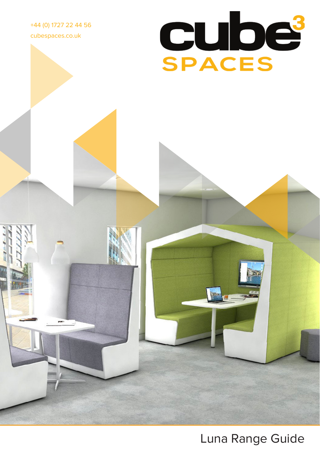cubespaces.co.uk +44 (0) 1727 22 44 56



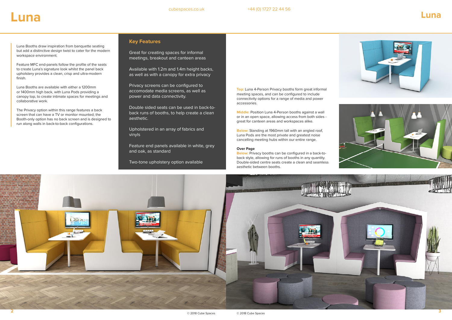

# **Luna Luna**